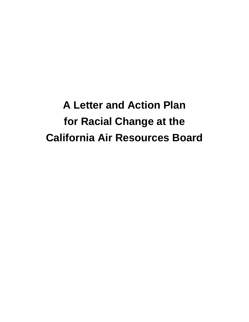**A Letter and Action Plan for Racial Change at the California Air Resources Board**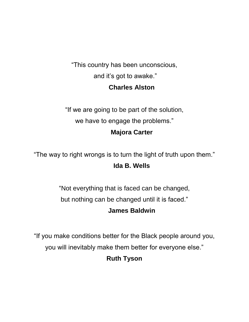"This country has been unconscious, and it's got to awake." **Charles Alston**

"If we are going to be part of the solution, we have to engage the problems."

## **Majora Carter**

"The way to right wrongs is to turn the light of truth upon them." **Ida B. Wells**

> "Not everything that is faced can be changed, but nothing can be changed until it is faced."

# **James Baldwin**

"If you make conditions better for the Black people around you,

you will inevitably make them better for everyone else."

# **Ruth Tyson**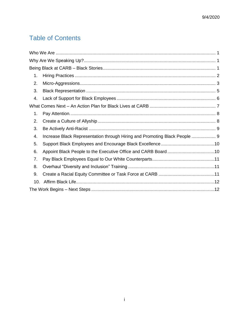# **Table of Contents**

| 1.  |                                                                            |  |
|-----|----------------------------------------------------------------------------|--|
| 2.  |                                                                            |  |
| 3.  |                                                                            |  |
| 4.  |                                                                            |  |
|     |                                                                            |  |
| 1.  |                                                                            |  |
| 2.  |                                                                            |  |
| 3.  |                                                                            |  |
| 4.  | Increase Black Representation through Hiring and Promoting Black People  9 |  |
| 5.  |                                                                            |  |
| 6.  |                                                                            |  |
| 7.  |                                                                            |  |
| 8.  |                                                                            |  |
| 9.  |                                                                            |  |
| 10. |                                                                            |  |
|     |                                                                            |  |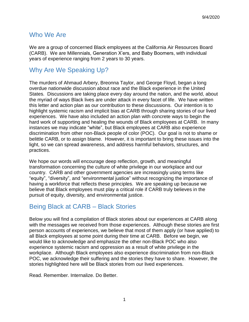### <span id="page-3-0"></span>Who We Are

We are a group of concerned Black employees at the California Air Resources Board (CARB). We are Millennials, Generation X'ers, and Baby Boomers, with individual years of experience ranging from 2 years to 30 years.

## <span id="page-3-1"></span>Why Are We Speaking Up?

The murders of Ahmaud Arbery, Breonna Taylor, and George Floyd, began a long overdue nationwide discussion about race and the Black experience in the United States. Discussions are taking place every day around the nation, and the world, about the myriad of ways Black lives are under attack in every facet of life. We have written this letter and action plan as our contribution to these discussions. Our intention is to highlight systemic racism and implicit bias at CARB through sharing stories of our lived experiences. We have also included an action plan with concrete ways to begin the hard work of supporting and healing the wounds of Black employees at CARB. In many instances we may indicate "white", but Black employees at CARB also experience discrimination from other non-Black people of color (POC). Our goal is not to shame or belittle CARB, or to assign blame. However, it is important to bring these issues into the light, so we can spread awareness, and address harmful behaviors, structures, and practices.

We hope our words will encourage deep reflection, growth, and meaningful transformation concerning the culture of white privilege in our workplace and our country. CARB and other government agencies are increasingly using terms like "equity", "diversity", and "environmental justice" without recognizing the importance of having a workforce that reflects these principles. We are speaking up because we believe that Black employees must play a critical role if CARB truly believes in the pursuit of equity, diversity, and environmental justice.

## <span id="page-3-2"></span>Being Black at CARB – Black Stories

Below you will find a compilation of Black stories about our experiences at CARB along with the messages we received from those experiences. Although these stories are first person accounts of experiences, we believe that most of them apply (or have applied) to all Black employees at some point during their time at CARB. Before we begin, we would like to acknowledge and emphasize the other non-Black POC who also experience systemic racism and oppression as a result of white privilege in the workplace. Although Black employees also experience discrimination from non-Black POC, we acknowledge their suffering and the stories they have to share. However, the stories highlighted here will be Black stories from our lived experiences.

Read. Remember. Internalize. Do Better.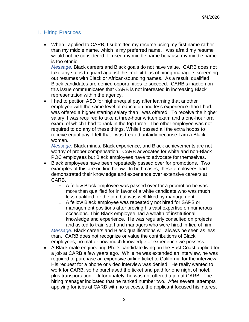#### <span id="page-4-0"></span>1. Hiring Practices

• When I applied to CARB, I submitted my resume using my first name rather than my middle name, which is my preferred name. I was afraid my resume would not be considered if I used my middle name because my middle name is too ethnic.

*Message:* Black careers and Black goals do not have value. CARB does not take any steps to guard against the implicit bias of hiring managers screening out resumes with Black or African-sounding names. As a result, qualified Black candidates are denied opportunities to succeed. CARB's inaction on this issue communicates that CARB is not interested in increasing Black representation within the agency.

• I had to petition ASD for higher/equal pay after learning that another employee with the same level of education and less experience than I had, was offered a higher starting salary than I was offered. To receive the higher salary, I was required to take a three-hour written exam and a one-hour oral exam, of which I had to rank in the top three. The other employee was not required to do any of these things. While I passed all the extra hoops to receive equal pay, I felt that I was treated unfairly because I am a Black woman.

*Message:* Black minds, Black experience, and Black achievements are not worthy of proper compensation. CARB advocates for white and non-Black POC employees but Black employees have to advocate for themselves.

- Black employees have been repeatedly passed over for promotions. Two examples of this are outline below. In both cases, these employees had demonstrated their knowledge and experience over extensive careers at CARB.
	- o A fellow Black employee was passed over for a promotion he was more than qualified for in favor of a white candidate who was much less qualified for the job, but was well-liked by management.
	- o A fellow Black employee was repeatedly not hired for SAPS or management positions after proving his vast expertise on numerous occasions. This Black employee had a wealth of institutional knowledge and experience. He was regularly consulted on projects and asked to train staff and managers who were hired in-lieu of him. *Message:* Black careers and Black qualifications will always be seen as less than. CARB does not recognize or value the contributions of Black employees, no matter how much knowledge or experience we possess.
- A Black male engineering Ph.D. candidate living on the East Coast applied for a job at CARB a few years ago. While he was extended an interview, he was required to purchase an expensive airline ticket to California for the interview. His request for a phone or video interview was denied. He really wanted to work for CARB, so he purchased the ticket and paid for one night of hotel, plus transportation. Unfortunately, he was not offered a job at CARB. The hiring manager indicated that he ranked number two. After several attempts applying for jobs at CARB with no success, the applicant focused his interest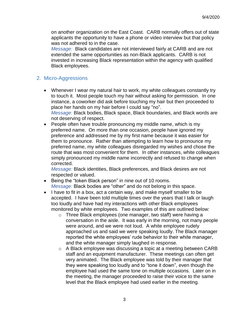on another organization on the East Coast. CARB normally offers out of state applicants the opportunity to have a phone or video interview but that policy was not adhered to in the case.

*Message:* Black candidates are not interviewed fairly at CARB and are not extended the same opportunities as non-Black applicants. CARB is not invested in increasing Black representation within the agency with qualified Black employees.

#### <span id="page-5-0"></span>2. Micro-Aggressions

- Whenever I wear my natural hair to work, my white colleagues constantly try to touch it. Most people touch my hair without asking for permission. In one instance, a coworker did ask before touching my hair but then proceeded to place her hands on my hair before I could say "no". *Message:* Black bodies, Black space, Black boundaries, and Black words are not deserving of respect.
- People often have trouble pronouncing my middle name, which is my preferred name. On more than one occasion, people have ignored my preference and addressed me by my first name because it was easier for them to pronounce. Rather than attempting to learn how to pronounce my preferred name, my white colleagues disregarded my wishes and chose the route that was most convenient for them. In other instances, white colleagues simply pronounced my middle name incorrectly and refused to change when corrected.

*Message:* Black identities, Black preferences, and Black desires are not respected or valued.

- Being the "token Black person" in nine out of 10 rooms. *Message:* Black bodies are "other" and do not belong in this space.
- I have to fit in a box, act a certain way, and make myself smaller to be accepted. I have been told multiple times over the years that I talk or laugh too loudly and have had my interactions with other Black employees monitored by white employees. Two examples of this are outlined below:
	- o Three Black employees (one manager, two staff) were having a conversation in the aisle. It was early in the morning, not many people were around, and we were not loud. A white employee rudely approached us and said we were speaking loudly. The Black manager reported the white employees' rude behavior to their white manager, and the white manager simply laughed in response.
	- o A Black employee was discussing a topic at a meeting between CARB staff and an equipment manufacturer. These meetings can often get very animated. The Black employee was told by their manager that they were speaking too loudly and to "tone it down", even though the employee had used the same tone on multiple occasions. Later on in the meeting, the manager proceeded to raise their voice to the same level that the Black employee had used earlier in the meeting.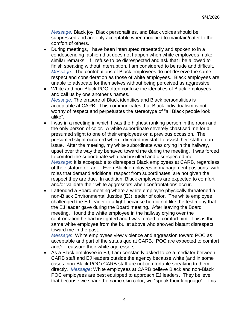*Message:* Black joy, Black personalities, and Black voices should be suppressed and are only acceptable when modified to maintain/cater to the comfort of others.

- During meetings, I have been interrupted repeatedly and spoken to in a condescending fashion that does not happen when white employees make similar remarks. If I refuse to be disrespected and ask that I be allowed to finish speaking without interruption, I am considered to be rude and difficult. *Message*: The contributions of Black employees do not deserve the same respect and consideration as those of white employees. Black employees are unable to advocate for themselves without being perceived as aggressive.
- White and non-Black POC often confuse the identities of Black employees and call us by one another's names. *Message:* The erasure of Black identities and Black personalities is acceptable at CARB. This communicates that Black individualism is not worthy of respect and perpetuates the stereotype of "all Black people look alike".
- I was in a meeting in which I was the highest ranking person in the room and the only person of color. A white subordinate severely chastised me for a presumed slight to one of their employees on a previous occasion. The presumed slight occurred when I directed my staff to assist their staff on an issue. After the meeting, my white subordinate was crying in the hallway, upset over the way they behaved toward me during the meeting. I was forced to comfort the subordinate who had insulted and disrespected me. *Message*: It is acceptable to disrespect Black employees at CARB, regardless of their stature or rank. Even Black employees in management positions, with roles that demand additional respect from subordinates, are not given the respect they are due. In addition, Black employees are expected to comfort and/or validate their white aggressors when confrontations occur.
- I attended a Board meeting where a white employee physically threatened a non-Black Environmental Justice (EJ) leader of color. The white employee challenged the EJ leader to a fight because he did not like the testimony that the EJ leader gave during the Board meeting. After leaving the Board meeting, I found the white employee in the hallway crying over the confrontation he had instigated and I was forced to comfort him. This is the same white employee from the bullet above who showed blatant disrespect toward me in the past.

*Message*: White employees view violence and aggression toward POC as acceptable and part of the status quo at CARB. POC are expected to comfort and/or reassure their white aggressors.

 As a Black employee in EJ, I am constantly asked to be a mediator between CARB staff and EJ leaders outside the agency because white (and in some cases, non-Black POC) CARB staff are not comfortable speaking to them directly. *Message*: White employees at CARB believe Black and non-Black POC employees are best equipped to approach EJ leaders. They believe that because we share the same skin color, we "speak their language". This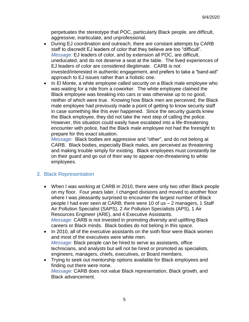perpetuates the stereotype that POC, particularly Black people, are difficult, aggressive, inarticulate, and unprofessional.

- During EJ coordination and outreach, there are constant attempts by CARB staff to discredit EJ leaders of color that they believe are too "difficult". *Message:* EJ leaders of color, and by extension all POC, are difficult, uneducated, and do not deserve a seat at the table. The lived experiences of EJ leaders of color are considered illegitimate. CARB is not invested/interested in authentic engagement, and prefers to take a "band-aid" approach to EJ issues rather than a holistic one.
- In El Monte, a white employee called security on a Black male employee who was waiting for a ride from a coworker. The white employee claimed the Black employee was breaking into cars or was otherwise up to no good, neither of which were true. Knowing how Black men are perceived, the Black male employee had previously made a point of getting to know security staff in case something like this ever happened. Since the security guards knew the Black employee, they did not take the next step of calling the police. However, this situation could easily have escalated into a life-threatening encounter with police, had the Black male employee not had the foresight to prepare for this exact situation.

*Message*: Black bodies are aggressive and "other", and do not belong at CARB. Black bodies, especially Black males, are perceived as threatening and making trouble simply for existing. Black employees must constantly be on their guard and go out of their way to appear non-threatening to white employees.

#### <span id="page-7-0"></span>3. Black Representation

- When I was working at CARB in 2010, there were only two other Black people on my floor. Four years later, I changed divisions and moved to another floor where I was pleasantly surprised to encounter the largest number of Black people I had ever seen at CARB; there were 10 of us – 2 managers, 1 Staff Air Pollution Specialist (SAPS), 2 Air Pollution Specialists (APS), 1 Air Resources Engineer (ARE), and 4 Executive Assistants. *Message:* CARB is not invested in promoting diversity and uplifting Black careers or Black minds. Black bodies do not belong in this space.
- In 2010, all of the executive assistants on the sixth floor were Black women and most of the executives were white men. *Message:* Black people can be hired to serve as assistants, office technicians, and analysts but will not be hired or promoted as specialists, engineers, managers, chiefs, executives, or Board members.
- Trying to seek out mentorship options available for Black employees and finding out there were none. *Message:* CARB does not value Black representation, Black growth, and Black advancement.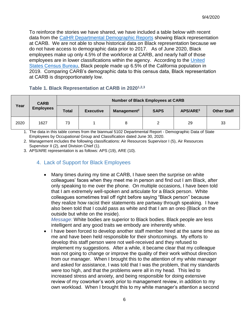To reinforce the stories we have shared, we have included a table below with recent data from the [CalHR Departmental Demographic Reports](https://www.calhr.ca.gov/Pages/workforce-analysis.aspx) showing Black representation at CARB. We are not able to show historical data on Black representation because we do not have access to demographic data prior to 2017. As of June 2020, Black employees make up only 4.5% of the workforce at CARB, and nearly half of those employees are in lower classifications within the agency. According to the United [States Census Bureau,](https://www.census.gov/quickfacts/CA) Black people made up 6.5% of the California population in 2019. Comparing CARB's demographic data to this census data, Black representation at CARB is disproportionately low.

#### **Table 1. Black Representation at CARB in 20201,2,3**

|      | <b>CARB</b><br><b>Employees</b> | <b>Number of Black Employees at CARB</b> |                  |                         |             |                      |                    |
|------|---------------------------------|------------------------------------------|------------------|-------------------------|-------------|----------------------|--------------------|
| Year |                                 | <b>Total</b>                             | <b>Executive</b> | Management <sup>2</sup> | <b>SAPS</b> | APS/ARE <sup>3</sup> | <b>Other Staff</b> |
| 2020 | 1627                            | 73                                       |                  | 8                       | っ           | 29                   | 33                 |

1. The data in this table comes from the biannual 5102 Departmental Report - Demographic Data of State Employees by Occupational Group and Classification dated June 30, 2020.

2. Management includes the following classifications: Air Resources Supervisor I (5), Air Resources Supervisor II (2), and Division Chief (1).

3. APS/ARE representation is as follows: APS (19), ARE (10).

### <span id="page-8-0"></span>4. Lack of Support for Black Employees

 Many times during my time at CARB, I have seen the surprise on white colleagues' faces when they meet me in person and find out I am Black, after only speaking to me over the phone. On multiple occasions, I have been told that I am extremely well-spoken and articulate for a Black person. White colleagues sometimes trail off right before saying "Black person" because they realize how racist their statements are partway through speaking. I have also been told that I could pass as white and that I am an oreo (Black on the outside but white on the inside).

*Message:* White bodies are superior to Black bodies. Black people are less intelligent and any good traits we embody are inherently white.

• I have been forced to develop another staff member hired at the same time as me and have been held responsible for their shortcomings. My efforts to develop this staff person were not well-received and they refused to implement my suggestions. After a while, it became clear that my colleague was not going to change or improve the quality of their work without direction from our manager. When I brought this to the attention of my white manager and asked for assistance, I was told that I was the problem, that my standards were too high, and that the problems were all in my head. This led to increased stress and anxiety, and being responsible for doing extensive review of my coworker's work prior to management review, in addition to my own workload. When I brought this to my white manager's attention a second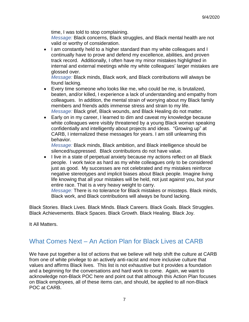time, I was told to stop complaining.

*Message:* Black concerns, Black struggles, and Black mental health are not valid or worthy of consideration.

• I am constantly held to a higher standard than my white colleagues and I continually have to prove and defend my excellence, abilities, and proven track record. Additionally, I often have my minor mistakes highlighted in internal and external meetings while my white colleagues' larger mistakes are glossed over.

*Message:* Black minds, Black work, and Black contributions will always be found lacking.

- Every time someone who looks like me, who could be me, is brutalized, beaten, and/or killed, I experience a lack of understanding and empathy from colleagues. In addition, the mental strain of worrying about my Black family members and friends adds immense stress and strain to my life. *Message:* Black grief, Black wounds, and Black Healing do not matter.
- Early on in my career, I learned to dim and caveat my knowledge because white colleagues were visibly threatened by a young Black woman speaking confidentially and intelligently about projects and ideas. "Growing up" at CARB, I internalized these messages for years. I am still unlearning this behavior.

*Message:* Black minds, Black ambition, and Black intelligence should be silenced/suppressed. Black contributions do not have value.

• I live in a state of perpetual anxiety because my actions reflect on all Black people. I work twice as hard as my white colleagues only to be considered just as good. My successes are not celebrated and my mistakes reinforce negative stereotypes and implicit biases about Black people. Imagine living life knowing that all your mistakes will be held, not just against you, but your entire race. That is a very heavy weight to carry.

*Message:* There is no tolerance for Black mistakes or missteps. Black minds, Black work, and Black contributions will always be found lacking.

Black Stories. Black Lives. Black Minds. Black Careers. Black Goals. Black Struggles. Black Achievements. Black Spaces. Black Growth. Black Healing. Black Joy.

It All Matters.

### <span id="page-9-0"></span>What Comes Next – An Action Plan for Black Lives at CARB

We have put together a list of actions that we believe will help shift the culture at CARB from one of white privilege to an actively anti-racist and more inclusive culture that values and affirms Black lives. This list is not exhaustive but it provides a foundation and a beginning for the conversations and hard work to come. Again, we want to acknowledge non-Black POC here and point out that although this Action Plan focuses on Black employees, all of these items can, and should, be applied to all non-Black POC at CARB.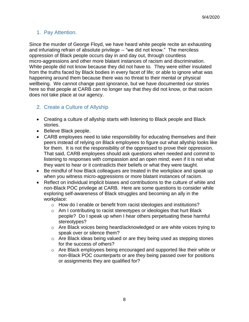### <span id="page-10-0"></span>1. Pay Attention.

Since the murder of George Floyd, we have heard white people recite an exhausting and infuriating refrain of absolute privilege -- "we did not know." The merciless oppression of Black people occurs day in and day out, through countless micro-aggressions and other more blatant instances of racism and discrimination. White people did not know because they did not have to. They were either insulated from the truths faced by Black bodies in every facet of life; or able to ignore what was happening around them because there was no threat to their mental or physical wellbeing. We cannot change past ignorance, but we have documented our stories here so that people at CARB can no longer say that they did not know, or that racism does not take place at our agency.

#### <span id="page-10-1"></span>2. Create a Culture of Allyship

- Creating a culture of allyship starts with listening to Black people and Black stories.
- Believe Black people.
- CARB employees need to take responsibility for educating themselves and their peers instead of relying on Black employees to figure out what allyship looks like for them. It is not the responsibility of the oppressed to prove their oppression. That said, CARB employees should ask questions when needed and commit to listening to responses with compassion and an open mind; even if it is not what they want to hear or it contradicts their beliefs or what they were taught.
- Be mindful of how Black colleagues are treated in the workplace and speak up when you witness micro-aggressions or more blatant instances of racism.
- Reflect on individual implicit biases and contributions to the culture of white and non-Black POC privilege at CARB. Here are some questions to consider while exploring self-awareness of Black struggles and becoming an ally in the workplace:
	- o How do I enable or benefit from racist ideologies and institutions?
	- o Am I contributing to racist stereotypes or ideologies that hurt Black people? Do I speak up when I hear others perpetuating these harmful stereotypes?
	- $\circ$  Are Black voices being heard/acknowledged or are white voices trying to speak over or silence them?
	- o Are Black ideas being valued or are they being used as stepping stones for the success of others?
	- o Are Black employees being encouraged and supported like their white or non-Black POC counterparts or are they being passed over for positions or assignments they are qualified for?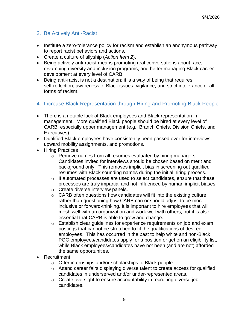#### <span id="page-11-0"></span>3. Be Actively Anti-Racist

- Institute a zero-tolerance policy for racism and establish an anonymous pathway to report racist behaviors and actions.
- Create a culture of allyship (*Action Item 2*).
- Being actively anti-racist means promoting real conversations about race, revamping diversity and inclusion programs, and better managing Black career development at every level of CARB.
- Being anti-racist is not a destination; it is a way of being that requires self-reflection, awareness of Black issues, vigilance, and strict intolerance of all forms of racism.
- <span id="page-11-1"></span>4. Increase Black Representation through Hiring and Promoting Black People
- There is a notable lack of Black employees and Black representation in management. More qualified Black people should be hired at every level of CARB, especially upper management (e.g., Branch Chiefs, Division Chiefs, and Executives).
- Qualified Black employees have consistently been passed over for interviews, upward mobility assignments, and promotions.
- Hiring Practices
	- o Remove names from all resumes evaluated by hiring managers. Candidates invited for interviews should be chosen based on merit and background only. This removes implicit bias in screening out qualified resumes with Black sounding names during the initial hiring process.
	- o If automated processes are used to select candidates, ensure that these processes are truly impartial and not influenced by human implicit biases.
	- o Create diverse interview panels.
	- o CARB often questions how candidates will fit into the existing culture rather than questioning how CARB can or should adjust to be more inclusive or forward-thinking. It is important to hire employees that will mesh well with an organization and work well with others, but it is also essential that CARB is able to grow and change.
	- o Establish clear guidelines for experience requirements on job and exam postings that cannot be stretched to fit the qualifications of desired employees. This has occurred in the past to help white and non-Black POC employees/candidates apply for a position or get on an eligibility list, while Black employees/candidates have not been (and are not) afforded the same opportunities.
- Recruitment
	- o Offer internships and/or scholarships to Black people.
	- o Attend career fairs displaying diverse talent to create access for qualified candidates in underserved and/or under-represented areas.
	- o Create oversight to ensure accountability in recruiting diverse job candidates.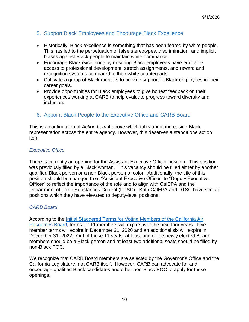### <span id="page-12-0"></span>5. Support Black Employees and Encourage Black Excellence

- Historically, Black excellence is something that has been feared by white people. This has led to the perpetuation of false stereotypes, discrimination, and implicit biases against Black people to maintain white dominance.
- Encourage Black excellence by ensuring Black employees have equitable access to professional development, stretch assignments, and reward and recognition systems compared to their white counterparts.
- Cultivate a group of Black mentors to provide support to Black employees in their career goals.
- Provide opportunities for Black employees to give honest feedback on their experiences working at CARB to help evaluate progress toward diversity and inclusion.

#### <span id="page-12-1"></span>6. Appoint Black People to the Executive Office and CARB Board

This is a continuation of *Action Item [4](#page-11-1)* above which talks about increasing Black representation across the entire agency. However, this deserves a standalone action item.

#### *Executive Office*

There is currently an opening for the Assistant Executive Officer position. This position was previously filled by a Black woman. This vacancy should be filled either by another qualified Black person or a non-Black person of color. Additionally, the title of this position should be changed from "Assistant Executive Officer" to "Deputy Executive Officer" to reflect the importance of the role and to align with CalEPA and the Department of Toxic Substances Control (DTSC). Both CalEPA and DTSC have similar positions which they have elevated to deputy-level positions.

#### *CARB Board*

According to the *Initial Staggered Terms for Voting Members of the California Air* [Resources Board,](https://ww3.arb.ca.gov/board/books/2018/072618/18-6-6pres.pdf?_ga=2.210131093.1454335814.1594922790-982488674.1591111996) terms for 11 members will expire over the next four years. Five member terms will expire in December 31, 2020 and an additional six will expire in December 31, 2022. Out of those 11 seats, at least one of the newly elected Board members should be a Black person and at least two additional seats should be filled by non-Black POC.

We recognize that CARB Board members are selected by the Governor's Office and the California Legislature, not CARB itself. However, CARB can advocate for and encourage qualified Black candidates and other non-Black POC to apply for these openings.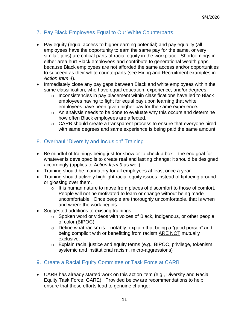### <span id="page-13-0"></span>7. Pay Black Employees Equal to Our White Counterparts

- Pay equity (equal access to higher earning potential) and pay equality (all employees have the opportunity to earn the same pay for the same, or very similar, jobs) are critical parts of racial equity in the workplace. Shortcomings in either area hurt Black employees and contribute to generational wealth gaps because Black employees are not afforded the same access and/or opportunities to succeed as their white counterparts (see Hiring and Recruitment examples in *Action Item 4*).
- Immediately close any pay gaps between Black and white employees within the same classification, who have equal education, experience, and/or degrees.
	- $\circ$  Inconsistencies in pay placement within classifications have led to Black employees having to fight for equal pay upon learning that white employees have been given higher pay for the same experience.
	- o An analysis needs to be done to evaluate why this occurs and determine how often Black employees are affected.
	- o CARB should create a transparent process to ensure that everyone hired with same degrees and same experience is being paid the same amount.

#### <span id="page-13-1"></span>8. Overhaul "Diversity and Inclusion" Training

- Be mindful of trainings being just for show or to check a box the end goal for whatever is developed is to create real and lasting change; it should be designed accordingly (applies to *Action Item 9* as well).
- Training should be mandatory for all employees at least once a year.
- Training should actively highlight racial equity issues instead of tiptoeing around or glossing over them.
	- o It is human nature to move from places of discomfort to those of comfort. People will not be motivated to learn or change without being made uncomfortable. Once people are thoroughly uncomfortable, that is when and where the work begins.
- Suggested additions to existing trainings:
	- o Spoken word or videos with voices of Black, Indigenous, or other people of color (BIPOC).
	- $\circ$  Define what racism is notably, explain that being a "good person" and being complicit with or benefitting from racism ARE NOT mutually exclusive.
	- o Explain racial justice and equity terms (e.g., BIPOC, privilege, tokenism, systemic and institutional racism, micro-aggressions)
- <span id="page-13-2"></span>9. Create a Racial Equity Committee or Task Force at CARB
- CARB has already started work on this action item (e.g., Diversity and Racial Equity Task Force; GARE). Provided below are recommendations to help ensure that these efforts lead to genuine change: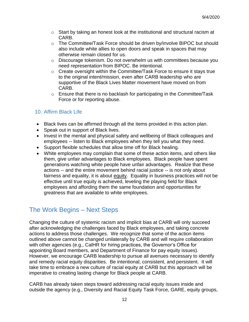- $\circ$  Start by taking an honest look at the institutional and structural racism at CARB.
- o The Committee/Task Force should be driven by/involve BIPOC but should also include white allies to open doors and speak in spaces that may otherwise remain closed for us.
- o Discourage tokenism. Do not overwhelm us with committees because you need representation from BIPOC. Be intentional.
- o Create oversight within the Committee/Task Force to ensure it stays true to the original intent/mission, even after CARB leadership who are supportive of the Black Lives Matter movement have moved on from CARB.
- o Ensure that there is no backlash for participating in the Committee/Task Force or for reporting abuse.

#### <span id="page-14-0"></span>10. Affirm Black Life

- Black lives can be affirmed through all the items provided in this action plan.
- Speak out in support of Black lives.
- Invest in the mental and physical safety and wellbeing of Black colleagues and employees -- listen to Black employees when they tell you what they need.
- Support flexible schedules that allow time off for Black healing.
- White employees may complain that some of these action items, and others like them, give unfair advantages to Black employees. Black people have spent generations watching white people have unfair advantages. Realize that these actions -- and the entire movement behind racial justice -- is not only about fairness and equality, it is about equity. Equality in business practices will not be effective until true equity is achieved, leveling the playing field for Black employees and affording them the same foundation and opportunities for greatness that are available to white employees.

## <span id="page-14-1"></span>The Work Begins – Next Steps

Changing the culture of systemic racism and implicit bias at CARB will only succeed after acknowledging the challenges faced by Black employees, and taking concrete actions to address those challenges. We recognize that some of the action items outlined above cannot be changed unilaterally by CARB and will require collaboration with other agencies (e.g., CalHR for hiring practices, the Governor's Office for appointing Board members, and Department of Finance for pay equity issues). However, we encourage CARB leadership to pursue all avenues necessary to identify and remedy racial equity disparities. Be intentional, consistent, and persistent. It will take time to embrace a new culture of racial equity at CARB but this approach will be imperative to creating lasting change for Black people at CARB.

CARB has already taken steps toward addressing racial equity issues inside and outside the agency (e.g., Diversity and Racial Equity Task Force, GARE, equity groups,